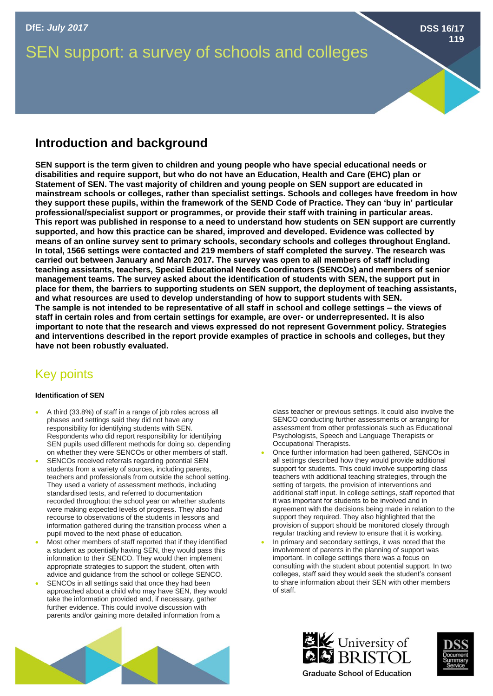# SEN support: a survey of schools and colleges

## **Introduction and background**

**SEN support is the term given to children and young people who have special educational needs or disabilities and require support, but who do not have an Education, Health and Care (EHC) plan or Statement of SEN. The vast majority of children and young people on SEN support are educated in mainstream schools or colleges, rather than specialist settings. Schools and colleges have freedom in how they support these pupils, within the framework of the SEND Code of Practice. They can 'buy in' particular professional/specialist support or programmes, or provide their staff with training in particular areas. This report was published in response to a need to understand how students on SEN support are currently supported, and how this practice can be shared, improved and developed. Evidence was collected by means of an online survey sent to primary schools, secondary schools and colleges throughout England. In total, 1566 settings were contacted and 219 members of staff completed the survey. The research was carried out between January and March 2017. The survey was open to all members of staff including teaching assistants, teachers, Special Educational Needs Coordinators (SENCOs) and members of senior management teams. The survey asked about the identification of students with SEN, the support put in place for them, the barriers to supporting students on SEN support, the deployment of teaching assistants, and what resources are used to develop understanding of how to support students with SEN. The sample is not intended to be representative of all staff in school and college settings – the views of staff in certain roles and from certain settings for example, are over- or underrepresented. It is also important to note that the research and views expressed do not represent Government policy. Strategies and interventions described in the report provide examples of practice in schools and colleges, but they have not been robustly evaluated.** 

# Key points

### **Identification of SEN**

- A third (33.8%) of staff in a range of job roles across all phases and settings said they did not have any responsibility for identifying students with SEN. Respondents who did report responsibility for identifying SEN pupils used different methods for doing so, depending on whether they were SENCOs or other members of staff.
- SENCOs received referrals regarding potential SEN students from a variety of sources, including parents, teachers and professionals from outside the school setting. They used a variety of assessment methods, including standardised tests, and referred to documentation recorded throughout the school year on whether students were making expected levels of progress. They also had recourse to observations of the students in lessons and information gathered during the transition process when a pupil moved to the next phase of education.
- Most other members of staff reported that if they identified a student as potentially having SEN, they would pass this information to their SENCO. They would then implement appropriate strategies to support the student, often with advice and guidance from the school or college SENCO.
- SENCOs in all settings said that once they had been approached about a child who may have SEN, they would take the information provided and, if necessary, gather further evidence. This could involve discussion with parents and/or gaining more detailed information from a

class teacher or previous settings. It could also involve the SENCO conducting further assessments or arranging for assessment from other professionals such as Educational Psychologists, Speech and Language Therapists or Occupational Therapists.

- Once further information had been gathered, SENCOs in all settings described how they would provide additional support for students. This could involve supporting class teachers with additional teaching strategies, through the setting of targets, the provision of interventions and additional staff input. In college settings, staff reported that it was important for students to be involved and in agreement with the decisions being made in relation to the support they required. They also highlighted that the provision of support should be monitored closely through regular tracking and review to ensure that it is working.
- In primary and secondary settings, it was noted that the involvement of parents in the planning of support was important. In college settings there was a focus on consulting with the student about potential support. In two colleges, staff said they would seek the student's consent to share information about their SEN with other members of staff.







**DSS 16/17**

**119**

**Graduate School of Education**